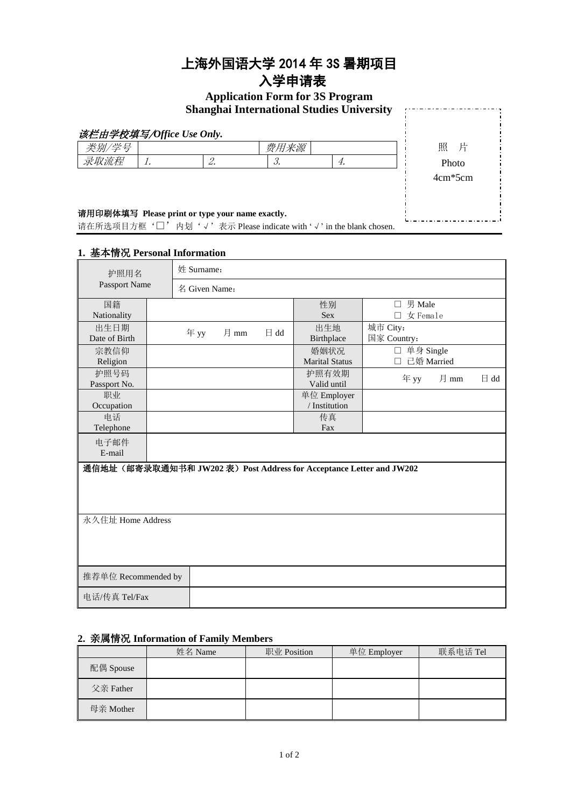## 上海外国语大学 2014 年 3S 暑期项目

## 入学申请表

# **Application Form for 3S Program**

|       |                                                                                                                                                                                                                                                                                  | <b>Shanghai International Studies University</b> |    |           |
|-------|----------------------------------------------------------------------------------------------------------------------------------------------------------------------------------------------------------------------------------------------------------------------------------|--------------------------------------------------|----|-----------|
|       | 该栏由学校填写/Office Use Only.                                                                                                                                                                                                                                                         |                                                  |    |           |
| 类别/学号 |                                                                                                                                                                                                                                                                                  | 费用来源                                             |    | 照 片       |
| 录取流程  |                                                                                                                                                                                                                                                                                  |                                                  | 4. | Photo     |
|       |                                                                                                                                                                                                                                                                                  |                                                  |    | $4cm*5cm$ |
|       |                                                                                                                                                                                                                                                                                  |                                                  |    |           |
|       |                                                                                                                                                                                                                                                                                  |                                                  |    |           |
|       | 请用印刷体填写 Please print or type your name exactly.<br>. The contract of the contract of the contract of the contract of the contract of the contract of the contract of the contract of the contract of the contract of the contract of the contract of the contract of the contrac |                                                  |    |           |

请在所选项目方框'□'内划'√'表示 Please indicate with '√' in the blank chosen.

#### **1.** 基本情况 **Personal Information**

| 护照用名<br>Passport Name |                                                                      | 姓 Surname:    |      |                |                               |                              |      |                |
|-----------------------|----------------------------------------------------------------------|---------------|------|----------------|-------------------------------|------------------------------|------|----------------|
|                       |                                                                      | 名 Given Name: |      |                |                               |                              |      |                |
| 国籍<br>Nationality     |                                                                      |               |      |                | 性别<br><b>Sex</b>              | 男 Male<br>$\Box$<br>女 Female |      |                |
| 出生日期<br>Date of Birth |                                                                      | 年 yy          | 月 mm | $\boxminus$ dd | 出生地<br>Birthplace             | 城市 City:<br>国家 Country:      |      |                |
| 宗教信仰<br>Religion      |                                                                      |               |      |                | 婚姻状况<br><b>Marital Status</b> | □ 单身 Single<br>已婚 Married    |      |                |
| 护照号码<br>Passport No.  |                                                                      |               |      |                | 护照有效期<br>Valid until          | 年 yy                         | 月 mm | $\boxminus$ dd |
| 职业<br>Occupation      |                                                                      |               |      |                | 单位 Employer<br>/ Institution  |                              |      |                |
| 电话<br>Telephone       |                                                                      |               |      |                | 传真<br>Fax                     |                              |      |                |
| 电子邮件<br>E-mail        |                                                                      |               |      |                |                               |                              |      |                |
|                       | 通信地址 (邮寄录取通知书和 JW202 表) Post Address for Acceptance Letter and JW202 |               |      |                |                               |                              |      |                |
|                       |                                                                      |               |      |                |                               |                              |      |                |
| 永久住址 Home Address     |                                                                      |               |      |                |                               |                              |      |                |
|                       |                                                                      |               |      |                |                               |                              |      |                |
|                       |                                                                      |               |      |                |                               |                              |      |                |
| 推荐单位 Recommended by   |                                                                      |               |      |                |                               |                              |      |                |
| 电话/传真 Tel/Fax         |                                                                      |               |      |                |                               |                              |      |                |

#### **2.** 亲属情况 **Information of Family Members**

|           | 姓名 Name | 职业 Position | 单位 Employer | 联系电话 Tel |
|-----------|---------|-------------|-------------|----------|
| 配偶 Spouse |         |             |             |          |
| 父亲 Father |         |             |             |          |
| 母亲 Mother |         |             |             |          |